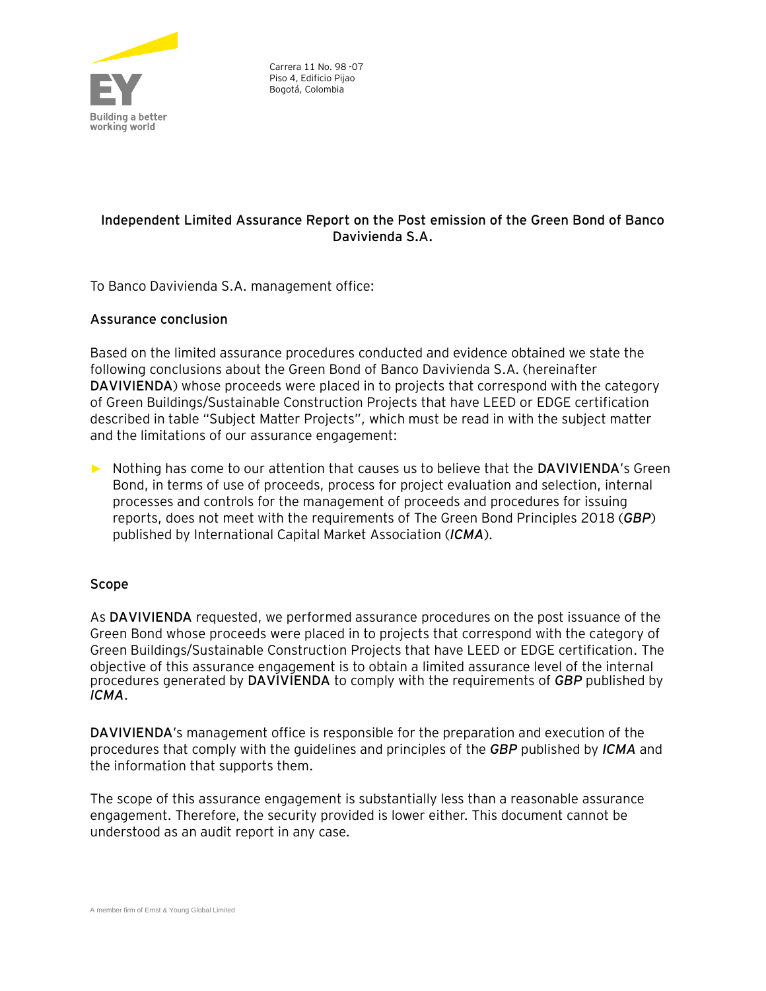

# **Independent Limited Assurance Report on the Post emission of the Green Bond of Banco Davivienda S.A.**

To Banco Davivienda S.A. management office:

## **Assurance conclusion**

Based on the limited assurance procedures conducted and evidence obtained we state the following conclusions about the Green Bond of Banco Davivienda S.A. (hereinafter **DAVIVIENDA**) whose proceeds were placed in to projects that correspond with the category of Green Buildings/Sustainable Construction Projects that have LEED or EDGE certification described in table "Subject Matter Projects", which must be read in with the subject matter and the limitations of our assurance engagement:

► Nothing has come to our attention that causes us to believe that the **DAVIVIENDA**'s Green Bond, in terms of use of proceeds, process for project evaluation and selection, internal processes and controls for the management of proceeds and procedures for issuing reports, does not meet with the requirements of The Green Bond Principles 2018 (*GBP*) published by International Capital Market Association (*ICMA*).

## **Scope**

As **DAVIVIENDA** requested, we performed assurance procedures on the post issuance of the Green Bond whose proceeds were placed in to projects that correspond with the category of Green Buildings/Sustainable Construction Projects that have LEED or EDGE certification. The objective of this assurance engagement is to obtain a limited assurance level of the internal procedures generated by **DAVIVIENDA** to comply with the requirements of *GBP* published by *ICMA*.

**DAVIVIENDA**'s management office is responsible for the preparation and execution of the procedures that comply with the guidelines and principles of the *GBP* published by *ICMA* and the information that supports them.

The scope of this assurance engagement is substantially less than a reasonable assurance engagement. Therefore, the security provided is lower either. This document cannot be understood as an audit report in any case.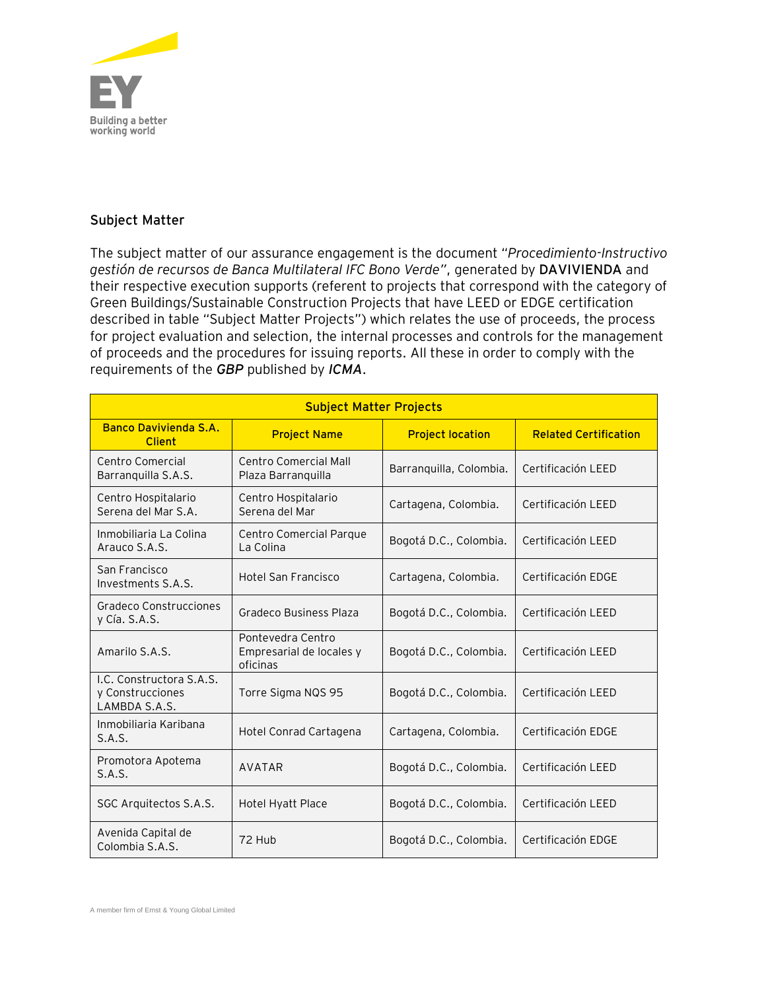

# **Subject Matter**

The subject matter of our assurance engagement is the document "*Procedimiento-Instructivo gestión de recursos de Banca Multilateral IFC Bono Verde"*, generated by **DAVIVIENDA** and their respective execution supports (referent to projects that correspond with the category of Green Buildings/Sustainable Construction Projects that have LEED or EDGE certification described in table "Subject Matter Projects") which relates the use of proceeds, the process for project evaluation and selection, the internal processes and controls for the management of proceeds and the procedures for issuing reports. All these in order to comply with the requirements of the *GBP* published by *ICMA*.

| <b>Subject Matter Projects</b>                                |                                                           |                         |                              |
|---------------------------------------------------------------|-----------------------------------------------------------|-------------------------|------------------------------|
| <b>Banco Davivienda S.A.</b><br><b>Client</b>                 | <b>Project Name</b>                                       | <b>Project location</b> | <b>Related Certification</b> |
| Centro Comercial<br>Barranquilla S.A.S.                       | Centro Comercial Mall<br>Plaza Barranquilla               | Barranquilla, Colombia. | Certificación LEED           |
| Centro Hospitalario<br>Serena del Mar S.A.                    | Centro Hospitalario<br>Serena del Mar                     | Cartagena, Colombia.    | Certificación LEED           |
| Inmobiliaria La Colina<br>Arauco S.A.S.                       | Centro Comercial Parque<br>La Colina                      | Bogotá D.C., Colombia.  | Certificación LEED           |
| San Francisco<br>Investments S.A.S.                           | <b>Hotel San Francisco</b>                                | Cartagena, Colombia.    | Certificación EDGE           |
| Gradeco Construcciones<br>y Cía. S.A.S.                       | Gradeco Business Plaza                                    | Bogotá D.C., Colombia.  | Certificación LEED           |
| Amarilo S.A.S.                                                | Pontevedra Centro<br>Empresarial de locales y<br>oficinas | Bogotá D.C., Colombia.  | Certificación LEED           |
| I.C. Constructora S.A.S.<br>y Construcciones<br>LAMBDA S.A.S. | Torre Sigma NQS 95                                        | Bogotá D.C., Colombia.  | Certificación LEED           |
| Inmobiliaria Karibana<br>S.A.S.                               | Hotel Conrad Cartagena                                    | Cartagena, Colombia.    | Certificación EDGE           |
| Promotora Apotema<br>S.A.S.                                   | AVATAR                                                    | Bogotá D.C., Colombia.  | Certificación LEED           |
| SGC Arquitectos S.A.S.                                        | Hotel Hyatt Place                                         | Bogotá D.C., Colombia.  | Certificación LEED           |
| Avenida Capital de<br>Colombia S.A.S.                         | 72 Hub                                                    | Bogotá D.C., Colombia.  | Certificación EDGE           |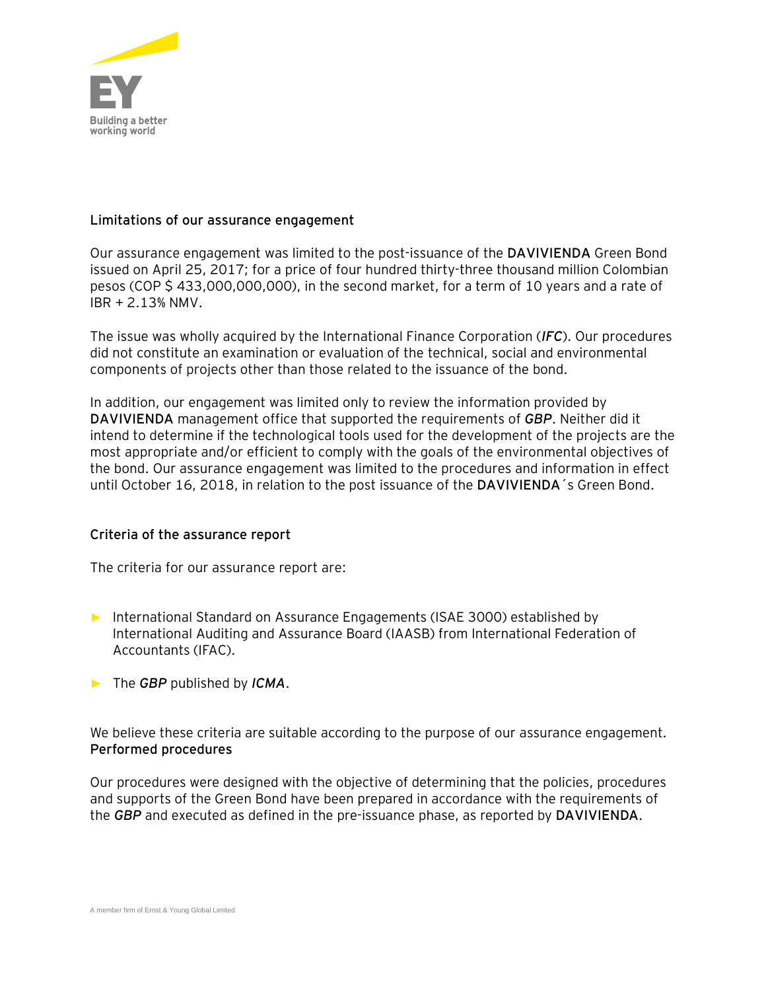

### **Limitations of our assurance engagement**

Our assurance engagement was limited to the post-issuance of the **DAVIVIENDA** Green Bond issued on April 25, 2017; for a price of four hundred thirty-three thousand million Colombian pesos (COP \$ 433,000,000,000), in the second market, for a term of 10 years and a rate of IBR + 2.13% NMV.

The issue was wholly acquired by the International Finance Corporation (*IFC*). Our procedures did not constitute an examination or evaluation of the technical, social and environmental components of projects other than those related to the issuance of the bond.

In addition, our engagement was limited only to review the information provided by **DAVIVIENDA** management office that supported the requirements of *GBP*. Neither did it intend to determine if the technological tools used for the development of the projects are the most appropriate and/or efficient to comply with the goals of the environmental objectives of the bond. Our assurance engagement was limited to the procedures and information in effect until October 16, 2018, in relation to the post issuance of the **DAVIVIENDA**´s Green Bond.

#### **Criteria of the assurance report**

The criteria for our assurance report are:

- ► International Standard on Assurance Engagements (ISAE 3000) established by International Auditing and Assurance Board (IAASB) from International Federation of Accountants (IFAC).
- ► The *GBP* published by *ICMA*.

We believe these criteria are suitable according to the purpose of our assurance engagement. **Performed procedures**

Our procedures were designed with the objective of determining that the policies, procedures and supports of the Green Bond have been prepared in accordance with the requirements of the *GBP* and executed as defined in the pre-issuance phase, as reported by **DAVIVIENDA**.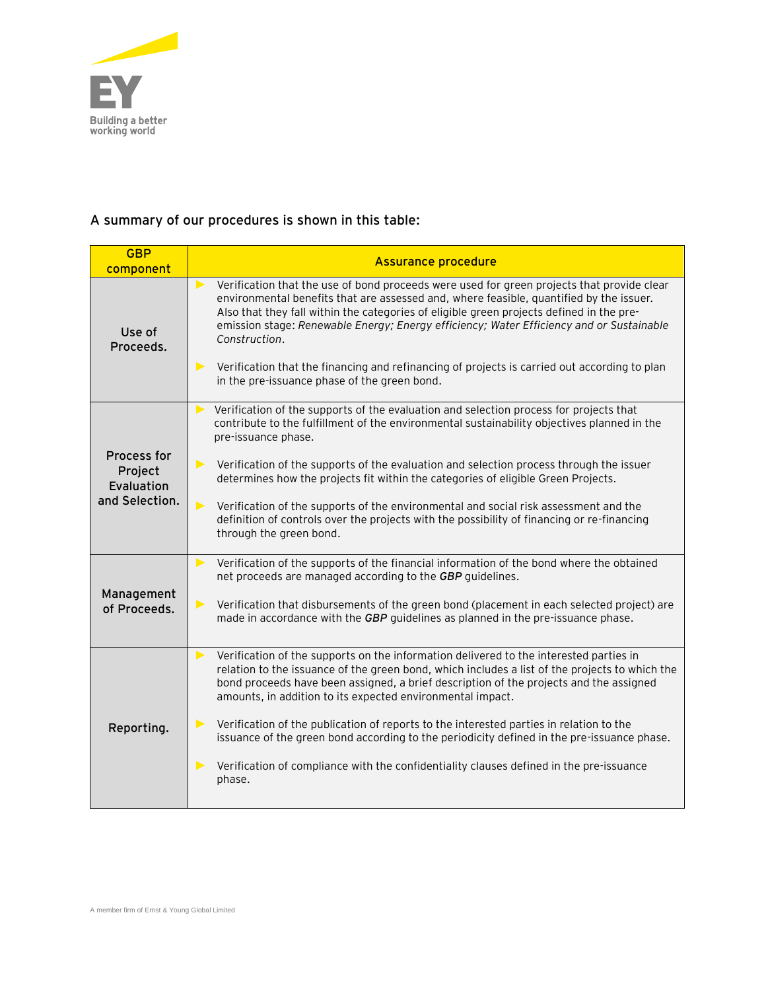

# **A summary of our procedures is shown in this table:**

| <b>GBP</b><br>component                                | <b>Assurance procedure</b>                                                                                                                                                                                                                                                                                                                                                                                                                                                                                                                                                                                                                                              |  |  |
|--------------------------------------------------------|-------------------------------------------------------------------------------------------------------------------------------------------------------------------------------------------------------------------------------------------------------------------------------------------------------------------------------------------------------------------------------------------------------------------------------------------------------------------------------------------------------------------------------------------------------------------------------------------------------------------------------------------------------------------------|--|--|
| Use of<br>Proceeds.                                    | Verification that the use of bond proceeds were used for green projects that provide clear<br>$\blacktriangleright$<br>environmental benefits that are assessed and, where feasible, quantified by the issuer.<br>Also that they fall within the categories of eligible green projects defined in the pre-<br>emission stage: Renewable Energy; Energy efficiency; Water Efficiency and or Sustainable<br>Construction.<br>Verification that the financing and refinancing of projects is carried out according to plan<br>$\blacktriangleright$<br>in the pre-issuance phase of the green bond.                                                                        |  |  |
| Process for<br>Project<br>Evaluation<br>and Selection. | Verification of the supports of the evaluation and selection process for projects that<br>contribute to the fulfillment of the environmental sustainability objectives planned in the<br>pre-issuance phase.<br>Verification of the supports of the evaluation and selection process through the issuer<br>$\blacktriangleright$<br>determines how the projects fit within the categories of eligible Green Projects.<br>$\blacktriangleright$<br>Verification of the supports of the environmental and social risk assessment and the<br>definition of controls over the projects with the possibility of financing or re-financing<br>through the green bond.         |  |  |
| Management<br>of Proceeds.                             | Verification of the supports of the financial information of the bond where the obtained<br>▶<br>net proceeds are managed according to the GBP guidelines.<br>Verification that disbursements of the green bond (placement in each selected project) are<br>$\blacktriangleright$<br>made in accordance with the GBP guidelines as planned in the pre-issuance phase.                                                                                                                                                                                                                                                                                                   |  |  |
| Reporting.                                             | Verification of the supports on the information delivered to the interested parties in<br>$\blacktriangleright$<br>relation to the issuance of the green bond, which includes a list of the projects to which the<br>bond proceeds have been assigned, a brief description of the projects and the assigned<br>amounts, in addition to its expected environmental impact.<br>Verification of the publication of reports to the interested parties in relation to the<br>issuance of the green bond according to the periodicity defined in the pre-issuance phase.<br>Verification of compliance with the confidentiality clauses defined in the pre-issuance<br>phase. |  |  |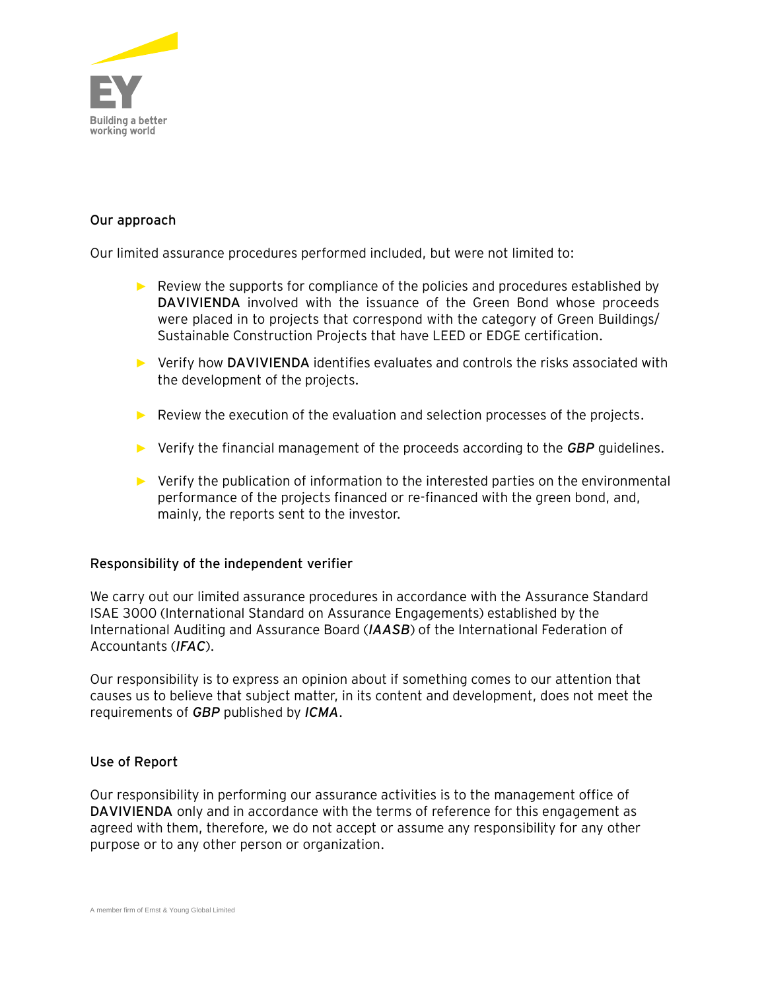

# **Our approach**

Our limited assurance procedures performed included, but were not limited to:

- $\blacktriangleright$  Review the supports for compliance of the policies and procedures established by **DAVIVIENDA** involved with the issuance of the Green Bond whose proceeds were placed in to projects that correspond with the category of Green Buildings/ Sustainable Construction Projects that have LEED or EDGE certification.
- ► Verify how **DAVIVIENDA** identifies evaluates and controls the risks associated with the development of the projects.
- ► Review the execution of the evaluation and selection processes of the projects.
- ► Verify the financial management of the proceeds according to the *GBP* guidelines.
- ► Verify the publication of information to the interested parties on the environmental performance of the projects financed or re-financed with the green bond, and, mainly, the reports sent to the investor.

#### **Responsibility of the independent verifier**

We carry out our limited assurance procedures in accordance with the Assurance Standard ISAE 3000 (International Standard on Assurance Engagements) established by the International Auditing and Assurance Board (*IAASB*) of the International Federation of Accountants (*IFAC*).

Our responsibility is to express an opinion about if something comes to our attention that causes us to believe that subject matter, in its content and development, does not meet the requirements of *GBP* published by *ICMA*.

#### **Use of Report**

Our responsibility in performing our assurance activities is to the management office of **DAVIVIENDA** only and in accordance with the terms of reference for this engagement as agreed with them, therefore, we do not accept or assume any responsibility for any other purpose or to any other person or organization.